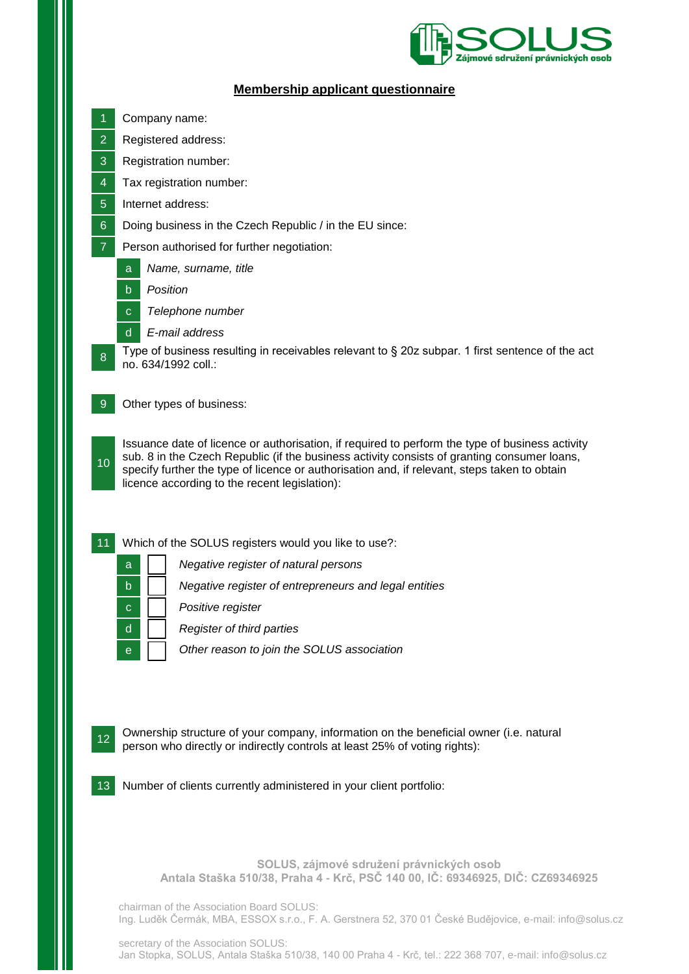

## **Membership applicant questionnaire**

- 1 Company name:
- 2 Registered address:
- 3 Registration number:
- 4 Tax registration number:
- 5 Internet address:
- 6 Doing business in the Czech Republic / in the EU since:
- 7 Person authorised for further negotiation:
	- a *Name, surname, title*
	- b *Position*

8

- c *Telephone number*
- d *E-mail address*

Type of business resulting in receivables relevant to § 20z subpar. 1 first sentence of the act no. 634/1992 coll.:

9 Other types of business:

10 Issuance date of licence or authorisation, if required to perform the type of business activity sub. 8 in the Czech Republic (if the business activity consists of granting consumer loans, specify further the type of licence or authorisation and, if relevant, steps taken to obtain licence according to the recent legislation):

- 11 Which of the SOLUS registers would you like to use?:
	- a *Negative register of natural persons* b *Negative register of entrepreneurs and legal entities* c *Positive register*
		-
	- d *Register of third parties*
	- e *Other reason to join the SOLUS association*



12 Ownership structure of your company, information on the beneficial owner (i.e. natural person who directly or indirectly controls at least 25% of voting rights):



13 Number of clients currently administered in your client portfolio:

**SOLUS, zájmové sdružení právnických osob Antala Staška 510/38, Praha 4 - Krč, PSČ 140 00, IČ: 69346925, DIČ: CZ69346925**

chairman of the Association Board SOLUS: Ing. Luděk Čermák, MBA, ESSOX s.r.o., F. A. Gerstnera 52, 370 01 České Budějovice, e-mail: info@solus.cz

secretary of the Association SOLUS: Jan Stopka, SOLUS, Antala Staška 510/38, 140 00 Praha 4 - Krč, tel.: 222 368 707, e-mail: info@solus.cz